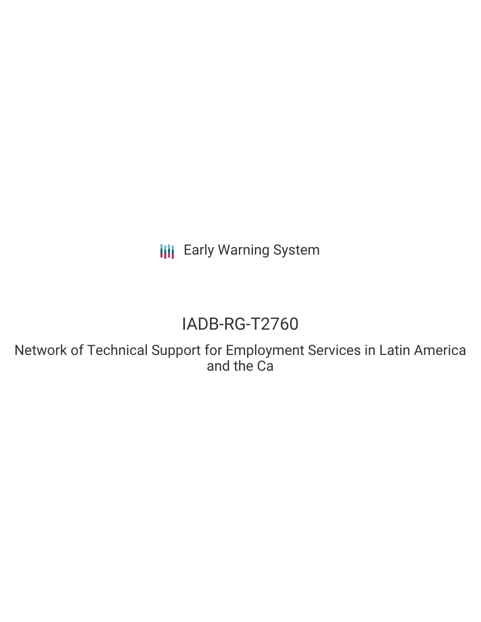**III** Early Warning System

# IADB-RG-T2760

Network of Technical Support for Employment Services in Latin America and the Ca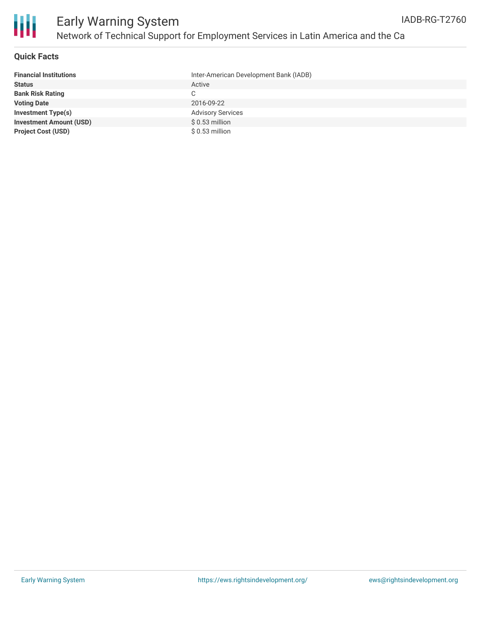

#### **Quick Facts**

| <b>Financial Institutions</b>  | Inter-American Development Bank (IADB) |
|--------------------------------|----------------------------------------|
| <b>Status</b>                  | Active                                 |
| <b>Bank Risk Rating</b>        | C                                      |
| <b>Voting Date</b>             | 2016-09-22                             |
| <b>Investment Type(s)</b>      | <b>Advisory Services</b>               |
| <b>Investment Amount (USD)</b> | $$0.53$ million                        |
| <b>Project Cost (USD)</b>      | \$ 0.53 million                        |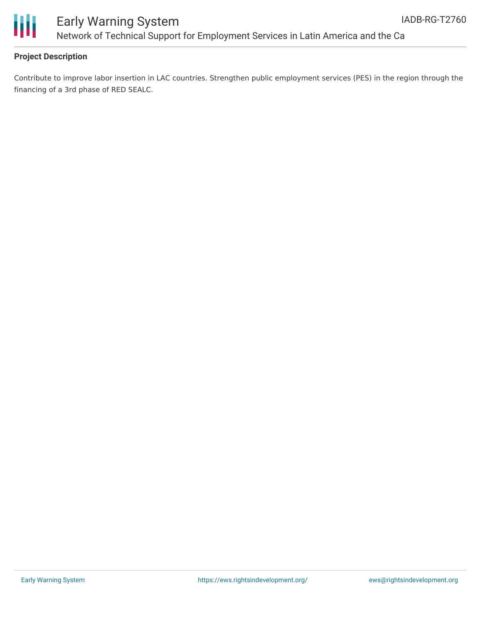

## Early Warning System Network of Technical Support for Employment Services in Latin America and the Ca

### **Project Description**

Contribute to improve labor insertion in LAC countries. Strengthen public employment services (PES) in the region through the financing of a 3rd phase of RED SEALC.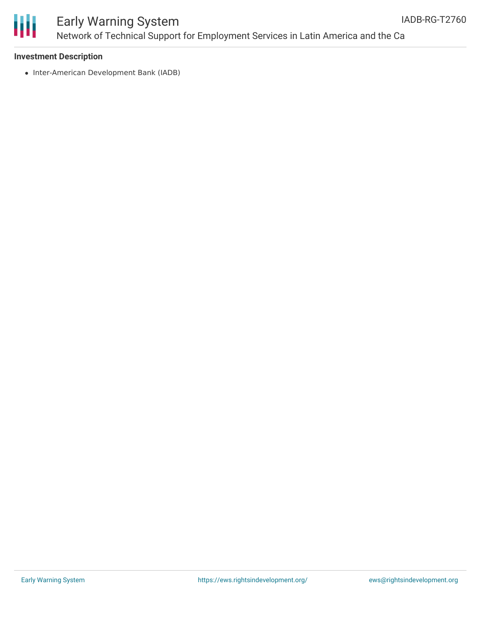

## Early Warning System Network of Technical Support for Employment Services in Latin America and the Ca

#### **Investment Description**

• Inter-American Development Bank (IADB)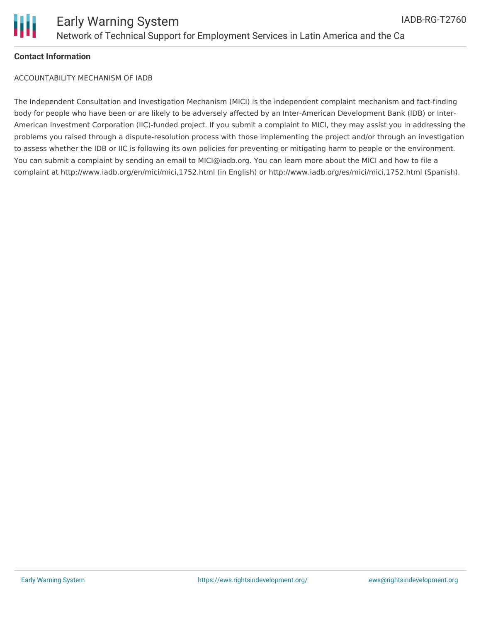

### **Contact Information**

ACCOUNTABILITY MECHANISM OF IADB

The Independent Consultation and Investigation Mechanism (MICI) is the independent complaint mechanism and fact-finding body for people who have been or are likely to be adversely affected by an Inter-American Development Bank (IDB) or Inter-American Investment Corporation (IIC)-funded project. If you submit a complaint to MICI, they may assist you in addressing the problems you raised through a dispute-resolution process with those implementing the project and/or through an investigation to assess whether the IDB or IIC is following its own policies for preventing or mitigating harm to people or the environment. You can submit a complaint by sending an email to MICI@iadb.org. You can learn more about the MICI and how to file a complaint at http://www.iadb.org/en/mici/mici,1752.html (in English) or http://www.iadb.org/es/mici/mici,1752.html (Spanish).